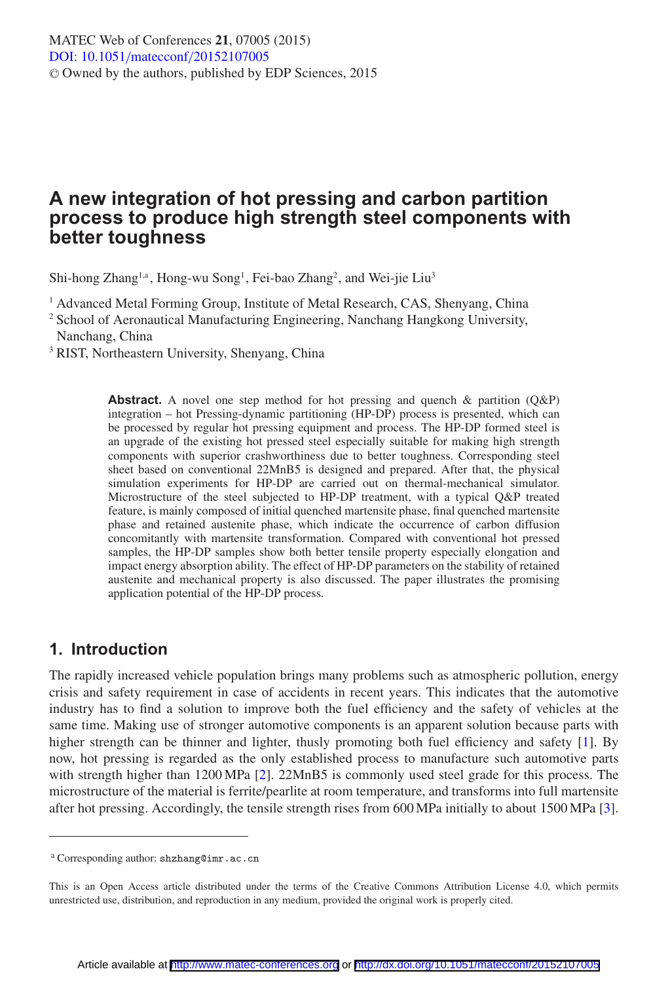# **A new integration of hot pressing and carbon partition process to produce high strength steel components with better toughness**

Shi-hong Zhang<sup>1,a</sup>, Hong-wu Song<sup>1</sup>, Fei-bao Zhang<sup>2</sup>, and Wei-jie Liu<sup>3</sup>

<sup>1</sup> Advanced Metal Forming Group, Institute of Metal Research, CAS, Shenyang, China

<sup>2</sup> School of Aeronautical Manufacturing Engineering, Nanchang Hangkong University, Nanchang, China

<sup>3</sup> RIST, Northeastern University, Shenyang, China

**Abstract.** A novel one step method for hot pressing and quench & partition (Q&P) integration – hot Pressing-dynamic partitioning (HP-DP) process is presented, which can be processed by regular hot pressing equipment and process. The HP-DP formed steel is an upgrade of the existing hot pressed steel especially suitable for making high strength components with superior crashworthiness due to better toughness. Corresponding steel sheet based on conventional 22MnB5 is designed and prepared. After that, the physical simulation experiments for HP-DP are carried out on thermal-mechanical simulator. Microstructure of the steel subjected to HP-DP treatment, with a typical Q&P treated feature, is mainly composed of initial quenched martensite phase, final quenched martensite phase and retained austenite phase, which indicate the occurrence of carbon diffusion concomitantly with martensite transformation. Compared with conventional hot pressed samples, the HP-DP samples show both better tensile property especially elongation and impact energy absorption ability. The effect of HP-DP parameters on the stability of retained austenite and mechanical property is also discussed. The paper illustrates the promising application potential of the HP-DP process.

## **1. Introduction**

The rapidly increased vehicle population brings many problems such as atmospheric pollution, energy crisis and safety requirement in case of accidents in recent years. This indicates that the automotive industry has to find a solution to improve both the fuel efficiency and the safety of vehicles at the same time. Making use of stronger automotive components is an apparent solution because parts with higher strength can be thinner and lighter, thusly promoting both fuel efficiency and safety [\[1](#page-4-0)]. By now, hot pressing is regarded as the only established process to manufacture such automotive parts with strength higher than 1200 MPa [\[2](#page-4-1)]. 22MnB5 is commonly used steel grade for this process. The microstructure of the material is ferrite/pearlite at room temperature, and transforms into full martensite after hot pressing. Accordingly, the tensile strength rises from 600 MPa initially to about 1500 MPa [\[3\]](#page-4-2).

<sup>a</sup> Corresponding author: shzhang@imr.ac.cn

This is an Open Access article distributed under the terms of the Creative Commons Attribution License 4.0, which permits unrestricted use, distribution, and reproduction in any medium, provided the original work is properly cited.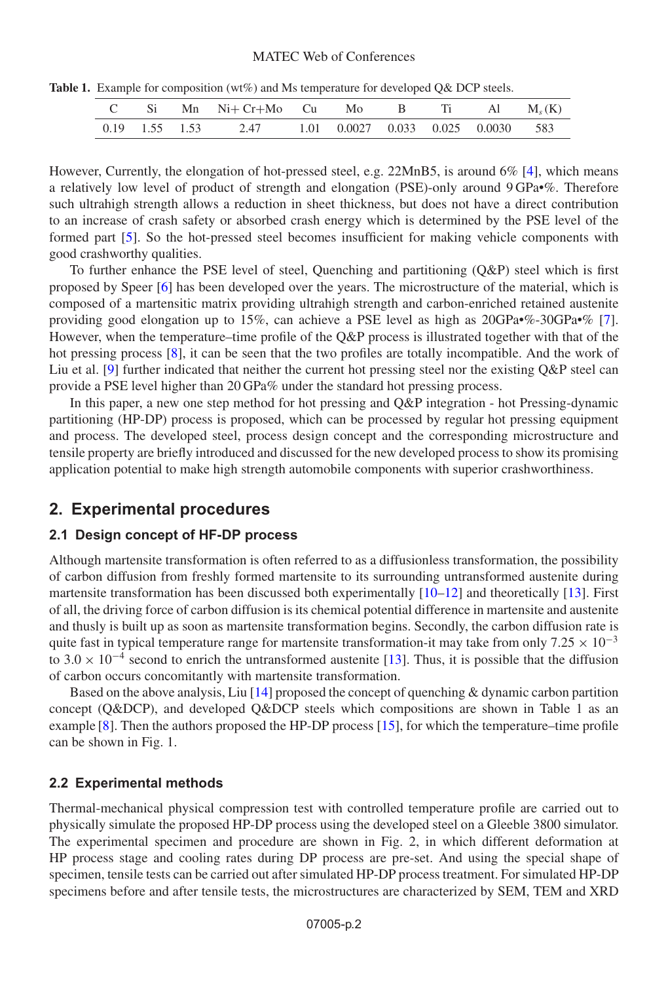#### MATEC Web of Conferences

|  |  |  | C Si Mn Ni+ Cr+Mo Cu Mo B Ti Al M <sub>s</sub> (K)                       |  |  |  |  |  |  |
|--|--|--|--------------------------------------------------------------------------|--|--|--|--|--|--|
|  |  |  | $0.19$ $1.55$ $1.53$ $2.47$ $1.01$ $0.0027$ $0.033$ $0.025$ $0.0030$ 583 |  |  |  |  |  |  |

Table 1. Example for composition (wt%) and Ms temperature for developed Q& DCP steels.

However, Currently, the elongation of hot-pressed steel, e.g. 22MnB5, is around 6% [\[4](#page-4-3)], which means a relatively low level of product of strength and elongation (PSE)-only around 9 GPa•%. Therefore such ultrahigh strength allows a reduction in sheet thickness, but does not have a direct contribution to an increase of crash safety or absorbed crash energy which is determined by the PSE level of the formed part [\[5\]](#page-4-4). So the hot-pressed steel becomes insufficient for making vehicle components with good crashworthy qualities.

To further enhance the PSE level of steel, Quenching and partitioning (Q&P) steel which is first proposed by Speer [\[6](#page-4-5)] has been developed over the years. The microstructure of the material, which is composed of a martensitic matrix providing ultrahigh strength and carbon-enriched retained austenite providing good elongation up to 15%, can achieve a PSE level as high as 20GPa•%-30GPa•% [\[7\]](#page-4-6). However, when the temperature–time profile of the Q&P process is illustrated together with that of the hot pressing process [\[8](#page-4-7)], it can be seen that the two profiles are totally incompatible. And the work of Liu et al. [\[9\]](#page-4-8) further indicated that neither the current hot pressing steel nor the existing Q&P steel can provide a PSE level higher than 20 GPa% under the standard hot pressing process.

In this paper, a new one step method for hot pressing and Q&P integration - hot Pressing-dynamic partitioning (HP-DP) process is proposed, which can be processed by regular hot pressing equipment and process. The developed steel, process design concept and the corresponding microstructure and tensile property are briefly introduced and discussed for the new developed process to show its promising application potential to make high strength automobile components with superior crashworthiness.

## **2. Experimental procedures**

### **2.1 Design concept of HF-DP process**

Although martensite transformation is often referred to as a diffusionless transformation, the possibility of carbon diffusion from freshly formed martensite to its surrounding untransformed austenite during martensite transformation has been discussed both experimentally  $[10-12]$  $[10-12]$  and theoretically [\[13\]](#page-4-11). First of all, the driving force of carbon diffusion is its chemical potential difference in martensite and austenite and thusly is built up as soon as martensite transformation begins. Secondly, the carbon diffusion rate is quite fast in typical temperature range for martensite transformation-it may take from only 7.25  $\times$  10<sup>-3</sup> to 3.0  $\times$  10<sup>-4</sup> second to enrich the untransformed austenite [\[13](#page-4-11)]. Thus, it is possible that the diffusion of carbon occurs concomitantly with martensite transformation.

Based on the above analysis, Liu  $[14]$  proposed the concept of quenching & dynamic carbon partition concept (Q&DCP), and developed Q&DCP steels which compositions are shown in Table 1 as an example [\[8](#page-4-7)]. Then the authors proposed the HP-DP process [\[15](#page-4-13)], for which the temperature–time profile can be shown in Fig. 1.

### **2.2 Experimental methods**

Thermal-mechanical physical compression test with controlled temperature profile are carried out to physically simulate the proposed HP-DP process using the developed steel on a Gleeble 3800 simulator. The experimental specimen and procedure are shown in Fig. 2, in which different deformation at HP process stage and cooling rates during DP process are pre-set. And using the special shape of specimen, tensile tests can be carried out after simulated HP-DP process treatment. For simulated HP-DP specimens before and after tensile tests, the microstructures are characterized by SEM, TEM and XRD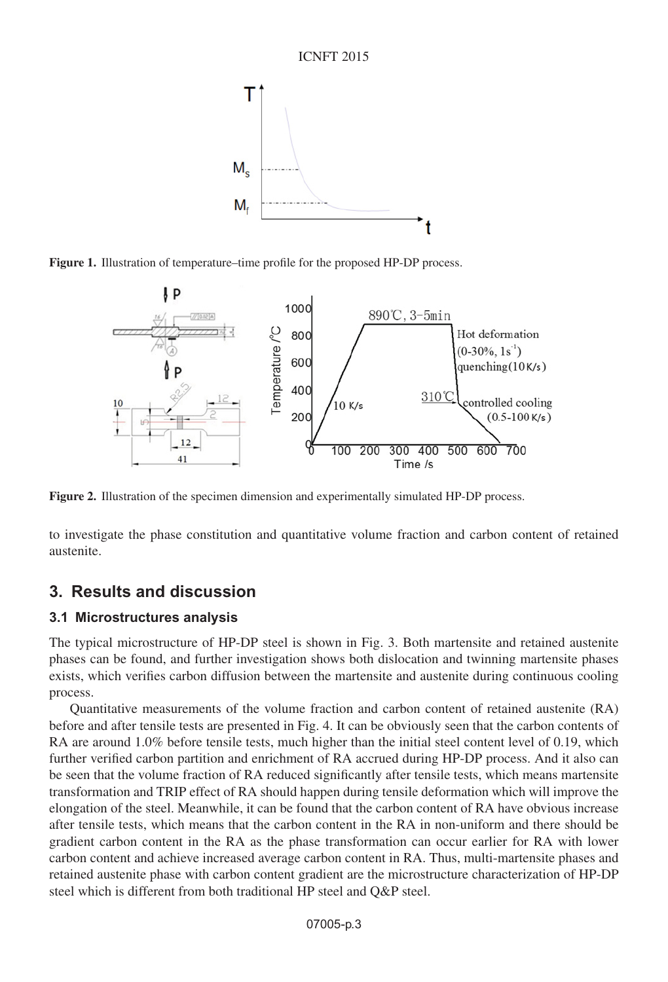

**Figure 1.** Illustration of temperature–time profile for the proposed HP-DP process.



**Figure 2.** Illustration of the specimen dimension and experimentally simulated HP-DP process.

to investigate the phase constitution and quantitative volume fraction and carbon content of retained austenite.

# **3. Results and discussion**

### **3.1 Microstructures analysis**

The typical microstructure of HP-DP steel is shown in Fig. 3. Both martensite and retained austenite phases can be found, and further investigation shows both dislocation and twinning martensite phases exists, which verifies carbon diffusion between the martensite and austenite during continuous cooling process.

Quantitative measurements of the volume fraction and carbon content of retained austenite (RA) before and after tensile tests are presented in Fig. 4. It can be obviously seen that the carbon contents of RA are around 1.0% before tensile tests, much higher than the initial steel content level of 0.19, which further verified carbon partition and enrichment of RA accrued during HP-DP process. And it also can be seen that the volume fraction of RA reduced significantly after tensile tests, which means martensite transformation and TRIP effect of RA should happen during tensile deformation which will improve the elongation of the steel. Meanwhile, it can be found that the carbon content of RA have obvious increase after tensile tests, which means that the carbon content in the RA in non-uniform and there should be gradient carbon content in the RA as the phase transformation can occur earlier for RA with lower carbon content and achieve increased average carbon content in RA. Thus, multi-martensite phases and retained austenite phase with carbon content gradient are the microstructure characterization of HP-DP steel which is different from both traditional HP steel and Q&P steel.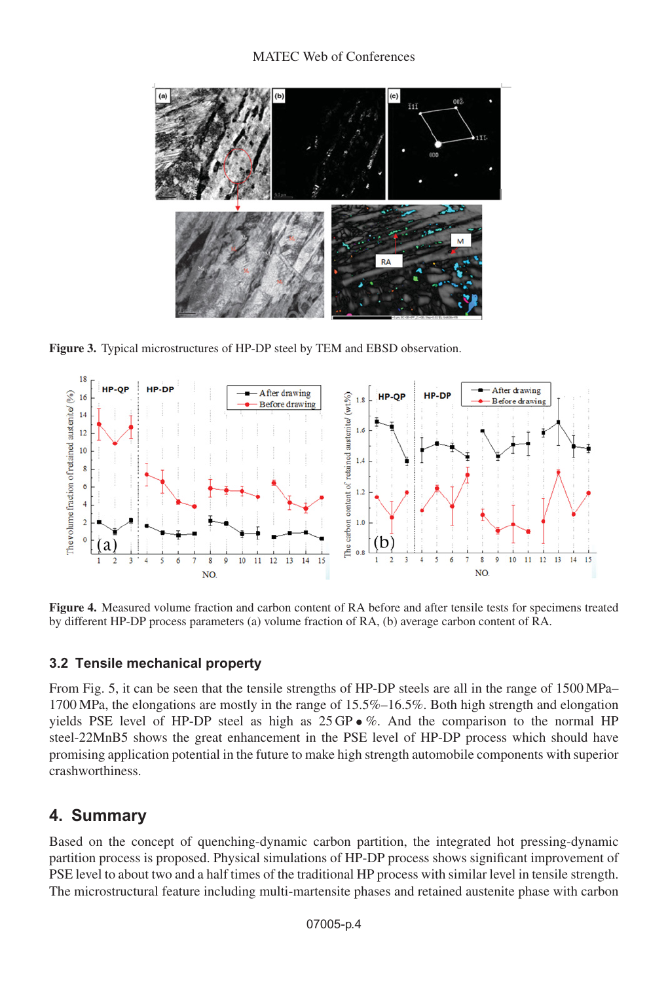### MATEC Web of Conferences



**Figure 3.** Typical microstructures of HP-DP steel by TEM and EBSD observation.



**Figure 4.** Measured volume fraction and carbon content of RA before and after tensile tests for specimens treated by different HP-DP process parameters (a) volume fraction of RA, (b) average carbon content of RA.

### **3.2 Tensile mechanical property**

From Fig. 5, it can be seen that the tensile strengths of HP-DP steels are all in the range of 1500 MPa– 1700 MPa, the elongations are mostly in the range of 15.5%–16.5%. Both high strength and elongation yields PSE level of HP-DP steel as high as  $25 \text{GP} \cdot \%$ . And the comparison to the normal HP steel-22MnB5 shows the great enhancement in the PSE level of HP-DP process which should have promising application potential in the future to make high strength automobile components with superior crashworthiness.

# **4. Summary**

Based on the concept of quenching-dynamic carbon partition, the integrated hot pressing-dynamic partition process is proposed. Physical simulations of HP-DP process shows significant improvement of PSE level to about two and a half times of the traditional HP process with similar level in tensile strength. The microstructural feature including multi-martensite phases and retained austenite phase with carbon